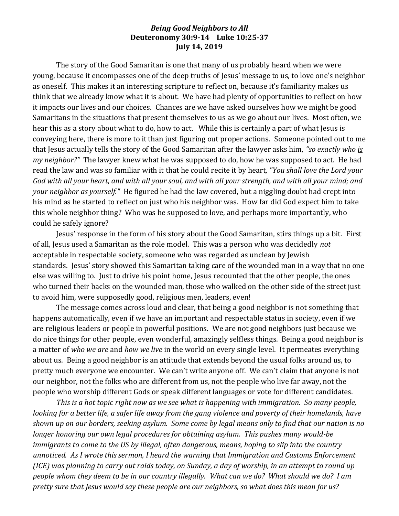## *Being Good Neighbors to All* **Deuteronomy 30:9-14 Luke 10:25-37 July 14, 2019**

The story of the Good Samaritan is one that many of us probably heard when we were young, because it encompasses one of the deep truths of Jesus' message to us, to love one's neighbor as oneself. This makes it an interesting scripture to reflect on, because it's familiarity makes us think that we already know what it is about. We have had plenty of opportunities to reflect on how it impacts our lives and our choices. Chances are we have asked ourselves how we might be good Samaritans in the situations that present themselves to us as we go about our lives. Most often, we hear this as a story about what to do, how to act. While this is certainly a part of what Jesus is conveying here, there is more to it than just figuring out proper actions. Someone pointed out to me that Jesus actually tells the story of the Good Samaritan after the lawyer asks him, *"so exactly who is my neighbor?"* The lawyer knew what he was supposed to do, how he was supposed to act. He had read the law and was so familiar with it that he could recite it by heart, *"You shall love the Lord your God with all your heart, and with all your soul, and with all your strength, and with all your mind; and your neighbor as yourself."* He figured he had the law covered, but a niggling doubt had crept into his mind as he started to reflect on just who his neighbor was. How far did God expect him to take this whole neighbor thing? Who was he supposed to love, and perhaps more importantly, who could he safely ignore?

Jesus' response in the form of his story about the Good Samaritan, stirs things up a bit. First of all, Jesus used a Samaritan as the role model. This was a person who was decidedly *not*  acceptable in respectable society, someone who was regarded as unclean by Jewish standards. Jesus' story showed this Samaritan taking care of the wounded man in a way that no one else was willing to. Just to drive his point home, Jesus recounted that the other people, the ones who turned their backs on the wounded man, those who walked on the other side of the street just to avoid him, were supposedly good, religious men, leaders, even!

The message comes across loud and clear, that being a good neighbor is not something that happens automatically, even if we have an important and respectable status in society, even if we are religious leaders or people in powerful positions. We are not good neighbors just because we do nice things for other people, even wonderful, amazingly selfless things. Being a good neighbor is a matter of *who we are* and *how we live* in the world on every single level. It permeates everything about us. Being a good neighbor is an attitude that extends beyond the usual folks around us, to pretty much everyone we encounter. We can't write anyone off. We can't claim that anyone is not our neighbor, not the folks who are different from us, not the people who live far away, not the people who worship different Gods or speak different languages or vote for different candidates.

*This is a hot topic right now as we see what is happening with immigration. So many people, looking for a better life, a safer life away from the gang violence and poverty of their homelands, have shown up on our borders, seeking asylum. Some come by legal means only to find that our nation is no longer honoring our own legal procedures for obtaining asylum. This pushes many would-be immigrants to come to the US by illegal, often dangerous, means, hoping to slip into the country unnoticed. As I wrote this sermon, I heard the warning that Immigration and Customs Enforcement (ICE) was planning to carry out raids today, on Sunday, a day of worship, in an attempt to round up people whom they deem to be in our country illegally. What can we do? What should we do? I am pretty sure that Jesus would say these people are our neighbors, so what does this mean for us?*